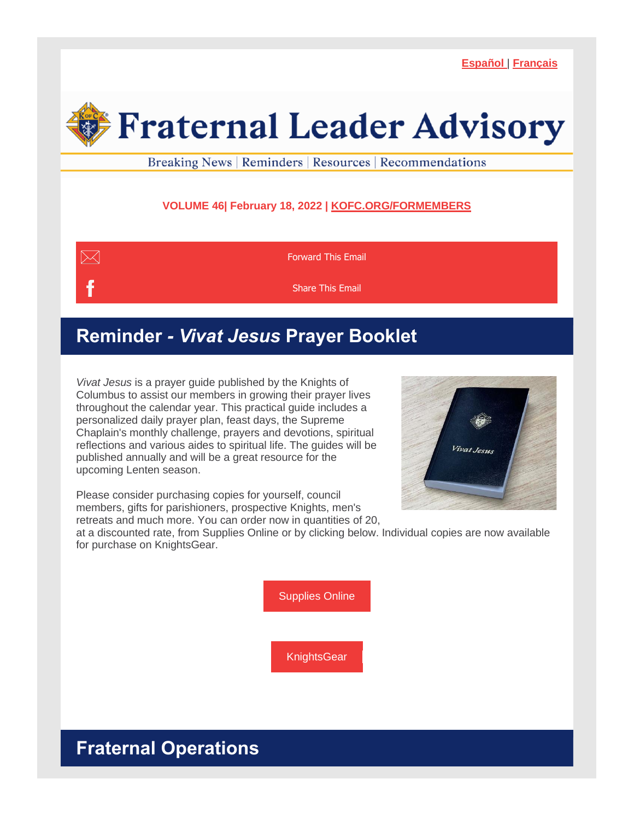**[Español](https://r20.rs6.net/tn.jsp?f=001G2J344cyVkxpvcIJPPpxgWjOeYLS1j5P8zQnFDVgm2QbKCFR4F3NpO5gAVmnE9zzO7MK4qlAoCriPRcFNSFP-8pGHNcul3m77PWA2PLPd9nS7oCYB09omAQMKUlRr5DIrBgtkhsqupvyK1GF3zePMQ==&c=B-wgeyzMAocMcEbsl1A9CdxcsY1pHzfw3mUDirWwV8AltI4C1033Dg==&ch=DGJ5KiudpNNdNfppXNtVWVIFFcKO531RO3EkR7sIiAq7ZnBG1rNkUA==)** | **[Français](https://r20.rs6.net/tn.jsp?f=001G2J344cyVkxpvcIJPPpxgWjOeYLS1j5P8zQnFDVgm2QbKCFR4F3NpO5gAVmnE9zzLvnQ6iR7zMdIXAKu_y8YoQTYTPIQ0byk-s1A6BIjwcnnL3WkQ6r8X4YRRJfNdKoV5mH2Ahpo0g0cAhyLzpRScg==&c=B-wgeyzMAocMcEbsl1A9CdxcsY1pHzfw3mUDirWwV8AltI4C1033Dg==&ch=DGJ5KiudpNNdNfppXNtVWVIFFcKO531RO3EkR7sIiAq7ZnBG1rNkUA==)**

# **Fraternal Leader Advisory**

Breaking News | Reminders | Resources | Recommendations

### **VOLUME 46| February 18, 2022 | [KOFC.ORG/FORMEMBERS](https://r20.rs6.net/tn.jsp?f=001G2J344cyVkxpvcIJPPpxgWjOeYLS1j5P8zQnFDVgm2QbKCFR4F3NpD1I43-HWlqBXmN0dt1J5g_PECO01CggzdBdYjZA2Qb5WrdQL66YHu6UQZWMW3IPyCxXJMSebELsDQ6Jw2YEv9CH34hHyGi5kCwvNA94Y_8oztyZbMHc1eShmBzS6AVwnRIJpbfBabg3oM4Ir-jQ7QfYP75ksRJ9jAdSNfgN3aU3AE0xrYkP4dBZB7ejBpEaZQlEPKOc3oxVvYhQH4tu5mIbnjUeiGnmBl6GKUX8nOiPL68XqUp8vcuTNcBPgb3iMCO7zqupQv15gH6mro7Sdlc=&c=B-wgeyzMAocMcEbsl1A9CdxcsY1pHzfw3mUDirWwV8AltI4C1033Dg==&ch=DGJ5KiudpNNdNfppXNtVWVIFFcKO531RO3EkR7sIiAq7ZnBG1rNkUA==)**



## **Reminder** *- Vivat Jesus* **Prayer Booklet**

*Vivat Jesus* is a prayer guide published by the Knights of Columbus to assist our members in growing their prayer lives throughout the calendar year. This practical guide includes a personalized daily prayer plan, feast days, the Supreme Chaplain's monthly challenge, prayers and devotions, spiritual reflections and various aides to spiritual life. The guides will be published annually and will be a great resource for the upcoming Lenten season.



Please consider purchasing copies for yourself, council members, gifts for parishioners, prospective Knights, men's retreats and much more. You can order now in quantities of 20,

at a discounted rate, from Supplies Online or by clicking below. Individual copies are now available for purchase on KnightsGear.

[Supplies](https://r20.rs6.net/tn.jsp?f=001G2J344cyVkxpvcIJPPpxgWjOeYLS1j5P8zQnFDVgm2QbKCFR4F3NpOAg4DKQd6i1ZrW1VLRUn2OgrdcrjnBniphqiHb0UuRzUgWRqy7BYMMCMJ10eQaDYbG109eEDTrjNl10jwxUl4DHElLK51WLZx6kBGR45swy3LK3MmIv-zYBs2Wk9Mcr1AEfxHL93e6OjzwLAhMWzYhxord-b5DAoveIYkN3nS-ryX67_EyDSiFIj_35giGsrO2KRJ4x4Lww9O7gw-SYIHaVkgHlSpImlF6AquyCmZ7SfHBqatovmB51N8F4gkYfYPTWSs8bfQ-URYoZQE0h1tI=&c=B-wgeyzMAocMcEbsl1A9CdxcsY1pHzfw3mUDirWwV8AltI4C1033Dg==&ch=DGJ5KiudpNNdNfppXNtVWVIFFcKO531RO3EkR7sIiAq7ZnBG1rNkUA==) Online

**[KnightsGear](https://r20.rs6.net/tn.jsp?f=001G2J344cyVkxpvcIJPPpxgWjOeYLS1j5P8zQnFDVgm2QbKCFR4F3NpO5gAVmnE9zzzvhlFOEOutZWGUoiOYvNtA_BXGjt6JnTZ-abENffSQJJSqKHD1k10jHuHtaBR2KLg21gw8RIG3dvJC_K5Moh12gD8Q1rL3g8fkebH1RseYDyHAYbrUVYcg==&c=B-wgeyzMAocMcEbsl1A9CdxcsY1pHzfw3mUDirWwV8AltI4C1033Dg==&ch=DGJ5KiudpNNdNfppXNtVWVIFFcKO531RO3EkR7sIiAq7ZnBG1rNkUA==)** 

# **Fraternal Operations**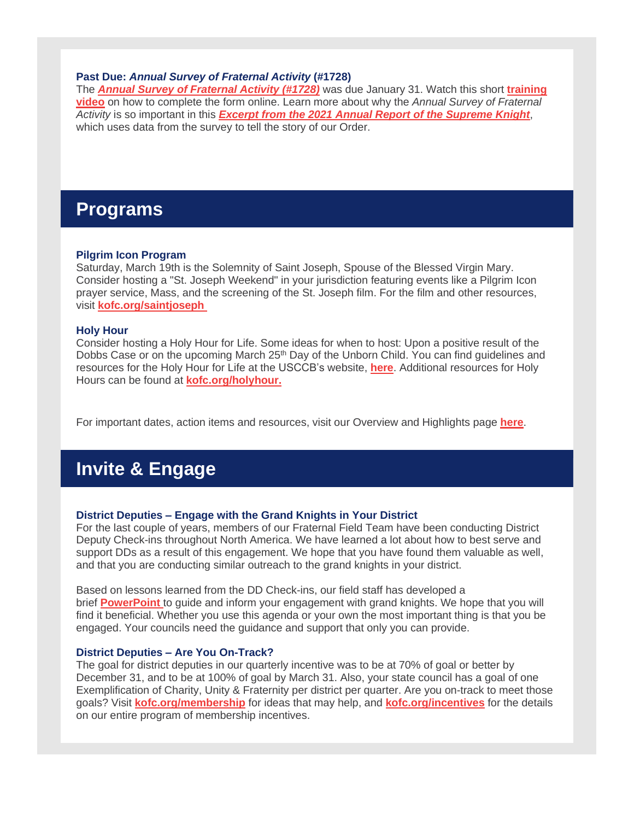#### **Past Due:** *Annual Survey of Fraternal Activity* **(#1728)**

The *Annual Survey of [Fraternal](https://r20.rs6.net/tn.jsp?f=001G2J344cyVkxpvcIJPPpxgWjOeYLS1j5P8zQnFDVgm2QbKCFR4F3NpMbjcbG_WmakR6AltoeUITS3ptFCCPTqPT2hkXu8xkDUaVHrqicffoqbbC8Vu4L21suFA4mBT5c-jbvmgki7R8bdt_IP5E88txj1Yj6FxiOhQebqyO39cGtaeTB9jk95GFGU9tRFOzjCi2v_LV6KxGjSivlM6xHXTsqj8yJWmS_r1qDWaWPIvDQcjvD6Qw-TXU5lNbezdKL0sqEa7dqiuZ8p-kdqUrX8Dvt_U5_NOpbsiO5CuVe5KGOm5Rh2PCBpG9PkfyqKVZejZ-xfAVOmfiLyP9Gs-BIhN-zIabQV_LVZvvubPCOk27I=&c=B-wgeyzMAocMcEbsl1A9CdxcsY1pHzfw3mUDirWwV8AltI4C1033Dg==&ch=DGJ5KiudpNNdNfppXNtVWVIFFcKO531RO3EkR7sIiAq7ZnBG1rNkUA==) Activity (#1728)* was due January 31. Watch this short **[training](https://r20.rs6.net/tn.jsp?f=001G2J344cyVkxpvcIJPPpxgWjOeYLS1j5P8zQnFDVgm2QbKCFR4F3NpP8G2gVEyJhJ78OD5-nX_mqlmtllKihb2hvM9pUFRgsKF1oZf3bGEPp4Sc0YE8AdRLDjP_XrfXfEGUMc9yQ85dMPzmSzo7Z_3aCEe-SqUfTbdRMYzoeZCl3JtP5eSwYXyxautAgwabYEngcjpshNkwUHbeXWibkM0WyegIM_uKKuIsVC7Ogp3PBVtETLfTVIGIbS4RRFlFk-75NPmhvYarMf3fQv75EeJiKb9W29Qa5B7HEByQ1KCMS59FLjw9OOnNs_fETjKW2xkqgsYZbepYA=&c=B-wgeyzMAocMcEbsl1A9CdxcsY1pHzfw3mUDirWwV8AltI4C1033Dg==&ch=DGJ5KiudpNNdNfppXNtVWVIFFcKO531RO3EkR7sIiAq7ZnBG1rNkUA==) [video](https://r20.rs6.net/tn.jsp?f=001G2J344cyVkxpvcIJPPpxgWjOeYLS1j5P8zQnFDVgm2QbKCFR4F3NpP8G2gVEyJhJ78OD5-nX_mqlmtllKihb2hvM9pUFRgsKF1oZf3bGEPp4Sc0YE8AdRLDjP_XrfXfEGUMc9yQ85dMPzmSzo7Z_3aCEe-SqUfTbdRMYzoeZCl3JtP5eSwYXyxautAgwabYEngcjpshNkwUHbeXWibkM0WyegIM_uKKuIsVC7Ogp3PBVtETLfTVIGIbS4RRFlFk-75NPmhvYarMf3fQv75EeJiKb9W29Qa5B7HEByQ1KCMS59FLjw9OOnNs_fETjKW2xkqgsYZbepYA=&c=B-wgeyzMAocMcEbsl1A9CdxcsY1pHzfw3mUDirWwV8AltI4C1033Dg==&ch=DGJ5KiudpNNdNfppXNtVWVIFFcKO531RO3EkR7sIiAq7ZnBG1rNkUA==)** on how to complete the form online. Learn more about why the *Annual Survey of Fraternal Activity* is so important in this *Excerpt from the 2021 Annual Report of the [Supreme](https://r20.rs6.net/tn.jsp?f=001G2J344cyVkxpvcIJPPpxgWjOeYLS1j5P8zQnFDVgm2QbKCFR4F3NpO5gAVmnE9zzZBd2AZxvuYQYlN0o1ZJNiPMW12KnszkFCpTpZjT31UT9Wyg9_SF7uykVkJ-9MutBJtxHtbEh0h95NmC1xj-pgHOIiVa_MPNycHPSgZ8IhX2UMIPW0kSVidgkIXG32ke_b5tpNP2ZGfgZu9f6j-GZgIpEF70JzBLWRDAfI2giHiU=&c=B-wgeyzMAocMcEbsl1A9CdxcsY1pHzfw3mUDirWwV8AltI4C1033Dg==&ch=DGJ5KiudpNNdNfppXNtVWVIFFcKO531RO3EkR7sIiAq7ZnBG1rNkUA==) Knight*, which uses data from the survey to tell the story of our Order.

## **Programs**

#### **Pilgrim Icon Program**

Saturday, March 19th is the Solemnity of Saint Joseph, Spouse of the Blessed Virgin Mary. Consider hosting a "St. Joseph Weekend" in your jurisdiction featuring events like a Pilgrim Icon prayer service, Mass, and the screening of the St. Joseph film. For the film and other resources, visit **[kofc.org/saintjoseph](https://r20.rs6.net/tn.jsp?f=001G2J344cyVkxpvcIJPPpxgWjOeYLS1j5P8zQnFDVgm2QbKCFR4F3NpIS7ZfqVny6eGGJw3ykbZgQ5fYd-l1_Ww1L8y0I9VAZ-nQcAFN-anBTNF2iu2sgGiGKOt6ajdQcwoK_DQgfVGOBpF7zOs7SflJv5L4MWzWnn8-WCsir0wG6smkqNlggxDCitP6lQdfbK&c=B-wgeyzMAocMcEbsl1A9CdxcsY1pHzfw3mUDirWwV8AltI4C1033Dg==&ch=DGJ5KiudpNNdNfppXNtVWVIFFcKO531RO3EkR7sIiAq7ZnBG1rNkUA==)**

#### **Holy Hour**

Consider hosting a Holy Hour for Life. Some ideas for when to host: Upon a positive result of the Dobbs Case or on the upcoming March 25<sup>th</sup> Day of the Unborn Child. You can find guidelines and resources for the Holy Hour for Life at the USCCB's website, **[here](https://r20.rs6.net/tn.jsp?f=001G2J344cyVkxpvcIJPPpxgWjOeYLS1j5P8zQnFDVgm2QbKCFR4F3NpH5_l9uYX_iwSl9wTqPy9czXGwEzme9VdVwOBiDL2Vi4oNQkUchzLDBZiqTFQdATBygxrbynugSNEZP8Qx0UIBqfufGikRFGmJkQ1UasrVcVf071TvCG3FYnEj7Ju7PkDQGbZUOG_lBYB8p97Ypy9Z8TwiqdoY-gpZFildC6UR3ptvy70CH-I4PqW_MyoZFQZw==&c=B-wgeyzMAocMcEbsl1A9CdxcsY1pHzfw3mUDirWwV8AltI4C1033Dg==&ch=DGJ5KiudpNNdNfppXNtVWVIFFcKO531RO3EkR7sIiAq7ZnBG1rNkUA==)**. Additional resources for Holy Hours can be found at **[kofc.org/holyhour.](https://r20.rs6.net/tn.jsp?f=001G2J344cyVkxpvcIJPPpxgWjOeYLS1j5P8zQnFDVgm2QbKCFR4F3NpGWZHFYJQ17Yy2Ji4xJu0LJnZh7rz87gKUHMhQWwGLU_MQKSKwqblBf5x-gGv7sp_jjwHJkhJtharZGA_7ZqdRt0P82LqJlMlKGyI5lLlm1dIUTD0ey3KWPcDjgeQdH-wofZvkxV5AG4ox5gHtZBzxEkEa3EesJXQ8z6lMFxH1BIVJZG-5jj0Lo=&c=B-wgeyzMAocMcEbsl1A9CdxcsY1pHzfw3mUDirWwV8AltI4C1033Dg==&ch=DGJ5KiudpNNdNfppXNtVWVIFFcKO531RO3EkR7sIiAq7ZnBG1rNkUA==)**

For important dates, action items and resources, visit our Overview and Highlights page **[here](https://r20.rs6.net/tn.jsp?f=001G2J344cyVkxpvcIJPPpxgWjOeYLS1j5P8zQnFDVgm2QbKCFR4F3NpK3UqfOVyRe4A9pEeCZ5fPe5HZ8USTksx4i2os9jQWCrG4iAI_wxlGZH28WlFToGpSQto57M7l7Z7BBYGXXbe_P_leVuzyjwtb2TWodZN6Jj8X9oTuzeda3E6J8R4tFV_aN6nodHZ53ilSoF9LzAbW7cCpn8706TmtmIxO0m1SIT-Ppnv0SfXo6tAZalWFYU5ipMf6uo2yCOpc2TABx4BoN8Cl6PPJ02pEN3n0rn8uo3flZFeMlL-qmC-3qV9Lq4WZU9C32vld9EWdi05LAjKBXfcgqD7xPTn0_DY64NjuOEBUCdf064CV6P-B3Z1inpEg==&c=B-wgeyzMAocMcEbsl1A9CdxcsY1pHzfw3mUDirWwV8AltI4C1033Dg==&ch=DGJ5KiudpNNdNfppXNtVWVIFFcKO531RO3EkR7sIiAq7ZnBG1rNkUA==)**.

## **Invite & Engage**

#### **District Deputies – Engage with the Grand Knights in Your District**

For the last couple of years, members of our Fraternal Field Team have been conducting District Deputy Check-ins throughout North America. We have learned a lot about how to best serve and support DDs as a result of this engagement. We hope that you have found them valuable as well, and that you are conducting similar outreach to the grand knights in your district.

Based on lessons learned from the DD Check-ins, our field staff has developed a brief **[PowerPoint](https://r20.rs6.net/tn.jsp?f=001G2J344cyVkxpvcIJPPpxgWjOeYLS1j5P8zQnFDVgm2QbKCFR4F3NpO5gAVmnE9zzej0NTMja5m8W-G2vAd13Z9u9RoJ4C7KHc1OUQuW9D2P5sepxhJYYpwsSSjTpLsnIr2Utu8LRNwliMs66zBc45gxlLtIAG8nG0-0LEdjgayKjCw6zvFQRHNJ8_Tu3G0cJemU5_Xr9lVeUH0owdacN4UVAR7-SGLQMr9PaLkGNP0U=&c=B-wgeyzMAocMcEbsl1A9CdxcsY1pHzfw3mUDirWwV8AltI4C1033Dg==&ch=DGJ5KiudpNNdNfppXNtVWVIFFcKO531RO3EkR7sIiAq7ZnBG1rNkUA==)** to guide and inform your engagement with grand knights. We hope that you will find it beneficial. Whether you use this agenda or your own the most important thing is that you be engaged. Your councils need the guidance and support that only you can provide.

#### **District Deputies – Are You On-Track?**

The goal for district deputies in our quarterly incentive was to be at 70% of goal or better by December 31, and to be at 100% of goal by March 31. Also, your state council has a goal of one Exemplification of Charity, Unity & Fraternity per district per quarter. Are you on-track to meet those goals? Visit **[kofc.org/membership](https://r20.rs6.net/tn.jsp?f=001G2J344cyVkxpvcIJPPpxgWjOeYLS1j5P8zQnFDVgm2QbKCFR4F3NpBcdbrbme3WF0CJ2vbf0IqaDiNQUwX-cl3ryr4jclIcKJmOIY_6vkBa6DtntXoCkdXwt6YwT2Z_5PdY40DuDa9sqspI6B4OSG9f1-la43Gk4a_SedOFcEKxaP5E0CJYwxwaksPEkqIkuRIvjcZVLT5AVCtN8dnjYuR4SMizXXG8dAkASU2BClnjYHS7db52UNj3bJxc0H0gEueImr9ppB7xMf6w9cmxwSYGYBiTDOco-SzsI2RL2VGX9pRux5LScA7RWXgjrcxXKgcqympQYBF9Mi5l4uS9OlQ==&c=B-wgeyzMAocMcEbsl1A9CdxcsY1pHzfw3mUDirWwV8AltI4C1033Dg==&ch=DGJ5KiudpNNdNfppXNtVWVIFFcKO531RO3EkR7sIiAq7ZnBG1rNkUA==)** for ideas that may help, and **[kofc.org/incentives](https://r20.rs6.net/tn.jsp?f=001G2J344cyVkxpvcIJPPpxgWjOeYLS1j5P8zQnFDVgm2QbKCFR4F3NpLlUk6OjMcuty0H9ZM4FVRRiQdG-6PsCfC5mJuk26fXROVoBF_lTrwOCdnamNZP7sDPtOmKcgBzFjFA4yLLhZK54VM0XUidV-Cs1eQqRVj5cnOgxV_yXdwdGrRzx96TtdocKhs7-Ey1iBYzf_lxGPaPIvtKj-Fy49THc5rLCviGT3pZDVciinYxDCEcmkDkXM_AOYCWk0EBaWnDbBwl4ppdWcksY-sr_kFRevKmQwZ1YfN_c-X4_o6wGI3n93ESNv_FVGrGo1m_-mRIliI2cp2WaAx9Sd06JoZebIzeLqpMHoIaG6tRFswo=&c=B-wgeyzMAocMcEbsl1A9CdxcsY1pHzfw3mUDirWwV8AltI4C1033Dg==&ch=DGJ5KiudpNNdNfppXNtVWVIFFcKO531RO3EkR7sIiAq7ZnBG1rNkUA==)** for the details on our entire program of membership incentives.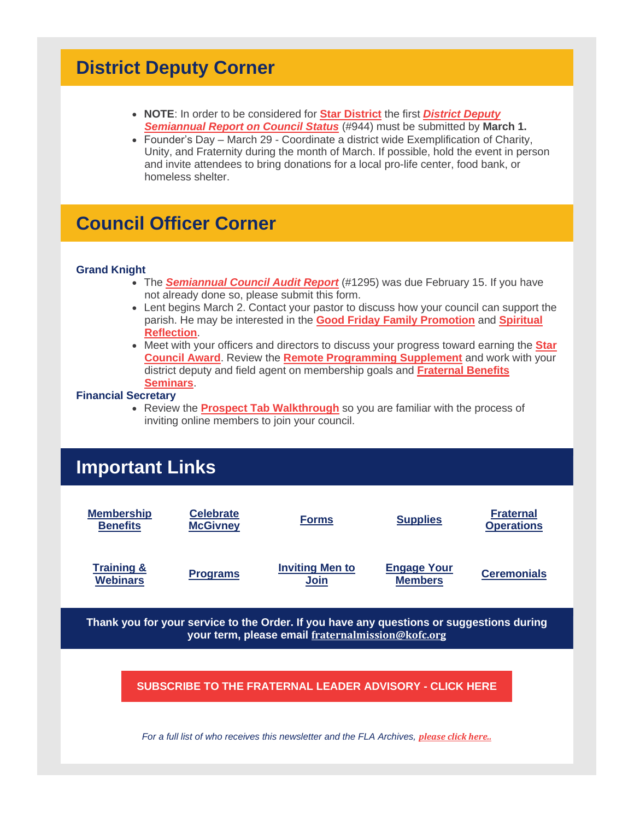## **District Deputy Corner**

- **NOTE**: In order to be considered for **Star [District](https://r20.rs6.net/tn.jsp?f=001G2J344cyVkxpvcIJPPpxgWjOeYLS1j5P8zQnFDVgm2QbKCFR4F3NpKOIKgGOTvqW1txHSVyG0QFwnfUBjqT0bdQ5ym7D30JheZdqQLB9f7yq5PRdfbUTELBDPtBYA77EDDLEfgMa02C2KeG5uoeq3PtR-cHHoEgiQMZPpxm0KXPp_tarekv48sGCVNzuGEw1xx6VNTFweeQm37VLgyo0r3n0KfHfIcEIgrPrPI6cqAE=&c=B-wgeyzMAocMcEbsl1A9CdxcsY1pHzfw3mUDirWwV8AltI4C1033Dg==&ch=DGJ5KiudpNNdNfppXNtVWVIFFcKO531RO3EkR7sIiAq7ZnBG1rNkUA==)** the first *[District](https://r20.rs6.net/tn.jsp?f=001G2J344cyVkxpvcIJPPpxgWjOeYLS1j5P8zQnFDVgm2QbKCFR4F3NpIt6cre7M0Q1dP3htVtGegap5Ff1tof8pts9WkYn2vamcisBoHkIuRd1mTnOaYuxxKjeRvEkdBNhi3Q2qzSCGLuqndbJp9poIvp1UpVywRxok2T-8AfRN2bv9LFNvEb-UscrDT8ixJwHVD2jR5lpOM4rIE29hYdJMQ==&c=B-wgeyzMAocMcEbsl1A9CdxcsY1pHzfw3mUDirWwV8AltI4C1033Dg==&ch=DGJ5KiudpNNdNfppXNtVWVIFFcKO531RO3EkR7sIiAq7ZnBG1rNkUA==) Deputy [Semiannual](https://r20.rs6.net/tn.jsp?f=001G2J344cyVkxpvcIJPPpxgWjOeYLS1j5P8zQnFDVgm2QbKCFR4F3NpIt6cre7M0Q1dP3htVtGegap5Ff1tof8pts9WkYn2vamcisBoHkIuRd1mTnOaYuxxKjeRvEkdBNhi3Q2qzSCGLuqndbJp9poIvp1UpVywRxok2T-8AfRN2bv9LFNvEb-UscrDT8ixJwHVD2jR5lpOM4rIE29hYdJMQ==&c=B-wgeyzMAocMcEbsl1A9CdxcsY1pHzfw3mUDirWwV8AltI4C1033Dg==&ch=DGJ5KiudpNNdNfppXNtVWVIFFcKO531RO3EkR7sIiAq7ZnBG1rNkUA==) Report on Council Status* (#944) must be submitted by **March 1.**
- Founder's Day March 29 Coordinate a district wide Exemplification of Charity, Unity, and Fraternity during the month of March. If possible, hold the event in person and invite attendees to bring donations for a local pro-life center, food bank, or homeless shelter.

## **Council Officer Corner**

#### **Grand Knight**

- The *[Semiannual](https://r20.rs6.net/tn.jsp?f=001G2J344cyVkxpvcIJPPpxgWjOeYLS1j5P8zQnFDVgm2QbKCFR4F3NpFATQ8ofpZGCv3evF7HmJJsb1nssZjgOkrpmG3Vk3EqPOc16jf5vPFQiVljhzAdC4MZm_z6-2e612ZrNT_n5PQQ0ODkehQD5Nwk5zzd8PS3YruyLMc9fKwE0XeqsmJhQiE8hcYJLf-DC&c=B-wgeyzMAocMcEbsl1A9CdxcsY1pHzfw3mUDirWwV8AltI4C1033Dg==&ch=DGJ5KiudpNNdNfppXNtVWVIFFcKO531RO3EkR7sIiAq7ZnBG1rNkUA==) Council Audit Report* (#1295) was due February 15. If you have not already done so, please submit this form.
- Lent begins March 2. Contact your pastor to discuss how your council can support the parish. He may be interested in the **Good Friday Family [Promotion](https://r20.rs6.net/tn.jsp?f=001G2J344cyVkxpvcIJPPpxgWjOeYLS1j5P8zQnFDVgm2QbKCFR4F3NpGWZHFYJQ17Y7dvr77AM15VwHj9sM6EMP8CGKyk-MAUbtyc_7bIxuUmUL3uTBGTsRKHJKWIu4xzqlMaYPY3w_eMVVQu3Y83znEh2VQsUkiAwYhGxeIn4klT-0Td7_3qPjmDJ7ATMSDln5qcZ7crw3UDid0zo4sTPoWKLf2Jh0SFBT01COq0UfNkUZ_7cAMPddBqk7Bc2Qh5Z&c=B-wgeyzMAocMcEbsl1A9CdxcsY1pHzfw3mUDirWwV8AltI4C1033Dg==&ch=DGJ5KiudpNNdNfppXNtVWVIFFcKO531RO3EkR7sIiAq7ZnBG1rNkUA==)** and **[Spiritual](https://r20.rs6.net/tn.jsp?f=001G2J344cyVkxpvcIJPPpxgWjOeYLS1j5P8zQnFDVgm2QbKCFR4F3NpHEd2k3Al1eBhurTMpPojks9zgUSP70eYdeenV3eayLQ-1rKY7WgeUUXWeWL-wZyoh1uI1t7q32hkf5UG6EBqI11drz7R0t5iSLOXyLvERbh_GOtvL0H3Jnp0VCUqFK1B4crSRydukEV8yH4-Ua_I0-ZRk8Zy12Txs5iWIHrXuwpvOCFb_eInsplD7Ai8RfQYQ==&c=B-wgeyzMAocMcEbsl1A9CdxcsY1pHzfw3mUDirWwV8AltI4C1033Dg==&ch=DGJ5KiudpNNdNfppXNtVWVIFFcKO531RO3EkR7sIiAq7ZnBG1rNkUA==) [Reflection](https://r20.rs6.net/tn.jsp?f=001G2J344cyVkxpvcIJPPpxgWjOeYLS1j5P8zQnFDVgm2QbKCFR4F3NpHEd2k3Al1eBhurTMpPojks9zgUSP70eYdeenV3eayLQ-1rKY7WgeUUXWeWL-wZyoh1uI1t7q32hkf5UG6EBqI11drz7R0t5iSLOXyLvERbh_GOtvL0H3Jnp0VCUqFK1B4crSRydukEV8yH4-Ua_I0-ZRk8Zy12Txs5iWIHrXuwpvOCFb_eInsplD7Ai8RfQYQ==&c=B-wgeyzMAocMcEbsl1A9CdxcsY1pHzfw3mUDirWwV8AltI4C1033Dg==&ch=DGJ5KiudpNNdNfppXNtVWVIFFcKO531RO3EkR7sIiAq7ZnBG1rNkUA==)**.
- Meet with your officers and directors to discuss your progress toward earning the **[Star](https://r20.rs6.net/tn.jsp?f=001G2J344cyVkxpvcIJPPpxgWjOeYLS1j5P8zQnFDVgm2QbKCFR4F3NpP0AWgzaeV3q8khhoZ0cNv7CyK3XpcKQaKEQnQXXNSs7wHHxd9yagnYj8Lb3TXjtSmb1yBEZvr1gLAEGz-81--_e-p3c-GLTIIDEkgd11EIud20c6wwkb51mJHUC7hsMnVicGtJuS3dIhE7vvdLEIgYjY8S5YfDVaBj3JVGtHdcjV46pMECut6w=&c=B-wgeyzMAocMcEbsl1A9CdxcsY1pHzfw3mUDirWwV8AltI4C1033Dg==&ch=DGJ5KiudpNNdNfppXNtVWVIFFcKO531RO3EkR7sIiAq7ZnBG1rNkUA==) [Council](https://r20.rs6.net/tn.jsp?f=001G2J344cyVkxpvcIJPPpxgWjOeYLS1j5P8zQnFDVgm2QbKCFR4F3NpP0AWgzaeV3q8khhoZ0cNv7CyK3XpcKQaKEQnQXXNSs7wHHxd9yagnYj8Lb3TXjtSmb1yBEZvr1gLAEGz-81--_e-p3c-GLTIIDEkgd11EIud20c6wwkb51mJHUC7hsMnVicGtJuS3dIhE7vvdLEIgYjY8S5YfDVaBj3JVGtHdcjV46pMECut6w=&c=B-wgeyzMAocMcEbsl1A9CdxcsY1pHzfw3mUDirWwV8AltI4C1033Dg==&ch=DGJ5KiudpNNdNfppXNtVWVIFFcKO531RO3EkR7sIiAq7ZnBG1rNkUA==) Award**. Review the **Remote [Programming](https://r20.rs6.net/tn.jsp?f=001G2J344cyVkxpvcIJPPpxgWjOeYLS1j5P8zQnFDVgm2QbKCFR4F3NpFATQ8ofpZGCre9wvVjBbVkvfw-OTPgOvvLnhQ2Xqn9izdRu5upeEiKlYkM_1aHDgka2UWLRHE_4dbc8FB3OmM55ZD7eXWJt76QGxKFfgS-oYsWKT6xpVF1jYyRUD0Vt3jl8oA7LnLr2q-WX9tLWi7VDCs_8qRFc_59jKvIIdYwGoJU_EO3VtlM7Pt3_-i42NHR6oiQzi03M&c=B-wgeyzMAocMcEbsl1A9CdxcsY1pHzfw3mUDirWwV8AltI4C1033Dg==&ch=DGJ5KiudpNNdNfppXNtVWVIFFcKO531RO3EkR7sIiAq7ZnBG1rNkUA==) Supplement** and work with your district deputy and field agent on membership goals and **[Fraternal](https://r20.rs6.net/tn.jsp?f=001G2J344cyVkxpvcIJPPpxgWjOeYLS1j5P8zQnFDVgm2QbKCFR4F3NpHGSW7oirZnPjkOb05GserG86ef-JdgmqypSPkfoBP73f9IUg_4c-cUQ-CQCj4-NV81FUTgUjStOctByO_UXms5AJnej_Kx89hKhJwFRoYjHvi6eaWSAFNpbf1Y8c9beCgFTz6ssRpoMnpDExqWUXE0mYI93AUzcEd3zGmHwlAbJ&c=B-wgeyzMAocMcEbsl1A9CdxcsY1pHzfw3mUDirWwV8AltI4C1033Dg==&ch=DGJ5KiudpNNdNfppXNtVWVIFFcKO531RO3EkR7sIiAq7ZnBG1rNkUA==) Benefits [Seminars](https://r20.rs6.net/tn.jsp?f=001G2J344cyVkxpvcIJPPpxgWjOeYLS1j5P8zQnFDVgm2QbKCFR4F3NpHGSW7oirZnPjkOb05GserG86ef-JdgmqypSPkfoBP73f9IUg_4c-cUQ-CQCj4-NV81FUTgUjStOctByO_UXms5AJnej_Kx89hKhJwFRoYjHvi6eaWSAFNpbf1Y8c9beCgFTz6ssRpoMnpDExqWUXE0mYI93AUzcEd3zGmHwlAbJ&c=B-wgeyzMAocMcEbsl1A9CdxcsY1pHzfw3mUDirWwV8AltI4C1033Dg==&ch=DGJ5KiudpNNdNfppXNtVWVIFFcKO531RO3EkR7sIiAq7ZnBG1rNkUA==)**.

#### **Financial Secretary**

• Review the **Prospect Tab [Walkthrough](https://r20.rs6.net/tn.jsp?f=001G2J344cyVkxpvcIJPPpxgWjOeYLS1j5P8zQnFDVgm2QbKCFR4F3NpFATQ8ofpZGCL2YCECOK5b-7DEO1nkc4TqJgGpOGkcS8yNQjuuHAYGXTmma3PioT3h6z8q9tVJlepoFvmMF6UmMBYEwaxNuPABSN9kPNKePKvB2oWelq65EacC2-tOCRIAkq5V_6q-qtKXiKvf_KuyrtdtlTVRHAe0yY3vpE1j4JHebhM6l03ydtYQAw8qxIWA==&c=B-wgeyzMAocMcEbsl1A9CdxcsY1pHzfw3mUDirWwV8AltI4C1033Dg==&ch=DGJ5KiudpNNdNfppXNtVWVIFFcKO531RO3EkR7sIiAq7ZnBG1rNkUA==)** so you are familiar with the process of inviting online members to join your council.

# **Important Links**



*For a full list of who receives this newsletter and the FLA Archives, [please](https://r20.rs6.net/tn.jsp?f=001G2J344cyVkxpvcIJPPpxgWjOeYLS1j5P8zQnFDVgm2QbKCFR4F3NpBcdbrbme3WFN_JJ6CMTphKL83_ZAw7Dej6JHRSMp-ImIfP8oSsNrvjrOvcxHzS_9kkMBbmwumkDLWEnjxqqKcZnl6Pe9fUi-yKLFZSWoTA9vJsne9TBiwzyaArsjQOmBa-vsPZzjGEN55QV6OUuP290Y_7PUMWq4GTFsyYs9y4Z-GCZjiOtbWPHf4Dnn5HVmS0DbstTyKEfBGMTTWlYJSBfE4dU6Bt9HPQv5_IcNrM7xGISchki4QSQNoIyHaRvFsVoD98tvSGd0xJP0EjruqWzYdLRhLE6LKdu4eKG-303&c=B-wgeyzMAocMcEbsl1A9CdxcsY1pHzfw3mUDirWwV8AltI4C1033Dg==&ch=DGJ5KiudpNNdNfppXNtVWVIFFcKO531RO3EkR7sIiAq7ZnBG1rNkUA==) click here[..](https://r20.rs6.net/tn.jsp?f=001G2J344cyVkxpvcIJPPpxgWjOeYLS1j5P8zQnFDVgm2QbKCFR4F3NpBcdbrbme3WFN_JJ6CMTphKL83_ZAw7Dej6JHRSMp-ImIfP8oSsNrvjrOvcxHzS_9kkMBbmwumkDLWEnjxqqKcZnl6Pe9fUi-yKLFZSWoTA9vJsne9TBiwzyaArsjQOmBa-vsPZzjGEN55QV6OUuP2-bdI_C9_0Twg==&c=B-wgeyzMAocMcEbsl1A9CdxcsY1pHzfw3mUDirWwV8AltI4C1033Dg==&ch=DGJ5KiudpNNdNfppXNtVWVIFFcKO531RO3EkR7sIiAq7ZnBG1rNkUA==)*